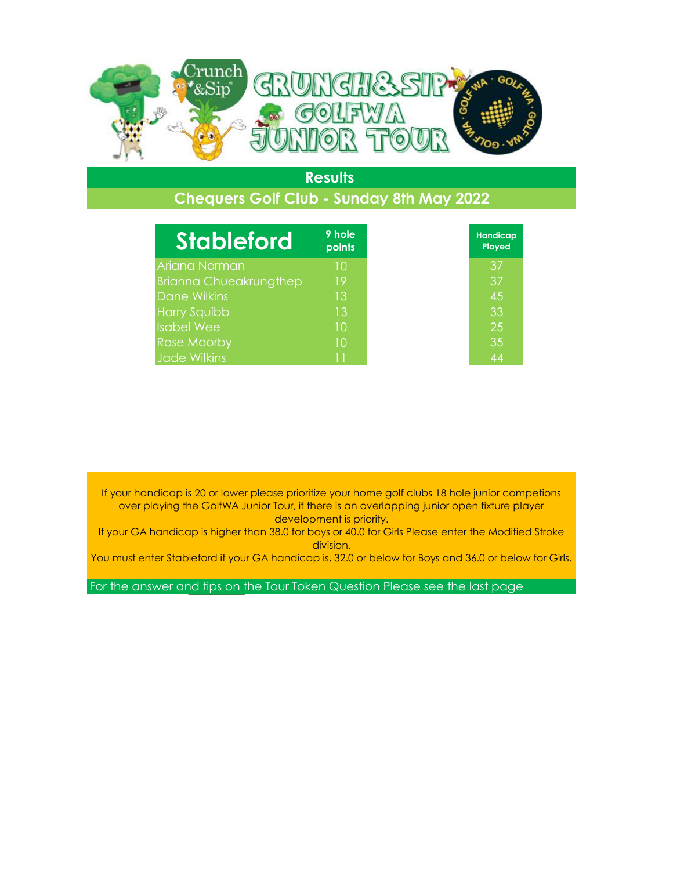

## **Chequers Golf Club - Sunday 8th May 2022**

| <b>Stableford</b>             | 9 hole<br>points |
|-------------------------------|------------------|
| Ariana Norman                 | 10               |
| <b>Brianna Chueakrungthep</b> | 19               |
| Dane Wilkins                  | 13               |
| <b>Harry Squibb</b>           | 13               |
| <b>Isabel Wee</b>             | 10               |
| Rose Moorby                   | 10               |
| <b>Jade Wilkins</b>           | 11               |

If your handicap is 20 or lower please prioritize your home golf clubs 18 hole junior competions over playing the GolfWA Junior Tour, if there is an overlapping junior open fixture player development is priority.

If your GA handicap is higher than 38.0 for boys or 40.0 for Girls Please enter the Modified Stroke division.

You must enter Stableford if your GA handicap is, 32.0 or below for Boys and 36.0 or below for Girls.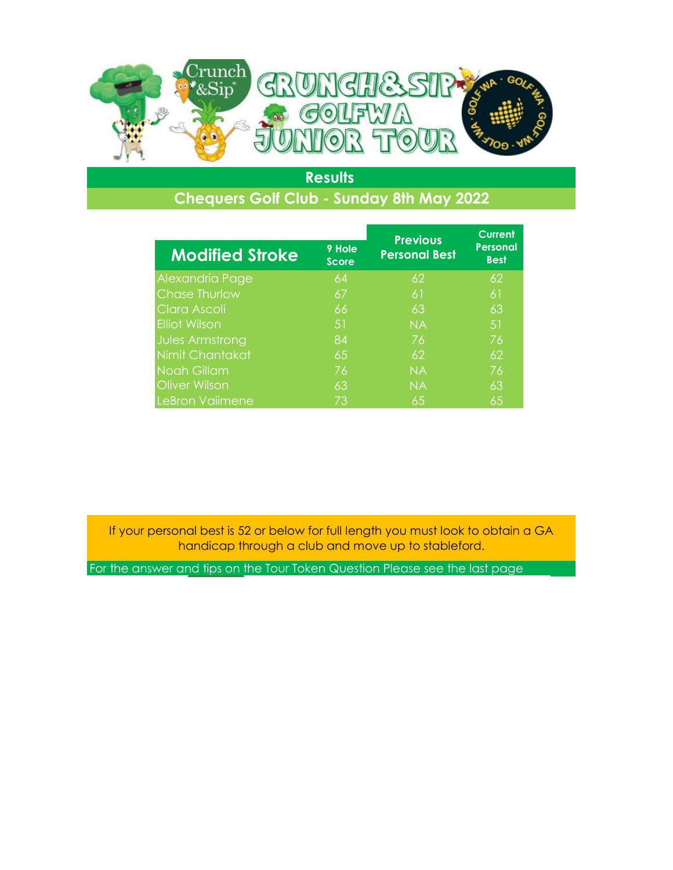

## **Chequers Golf Club - Sunday 8th May 2022**

|                        |                        | <b>Previous</b>      | <b>Current</b>                 |
|------------------------|------------------------|----------------------|--------------------------------|
| <b>Modified Stroke</b> | 9 Hole<br><b>Score</b> | <b>Personal Best</b> | <b>Personal</b><br><b>Best</b> |
| Alexandria Page        | 64                     | 62                   | 62                             |
| <b>Chase Thurlow</b>   | 67                     | 61                   | 61                             |
| Clara Ascoli           | 66                     | 63                   | 63                             |
| <b>Elliot Wilson</b>   | 51                     | <b>NA</b>            | 51                             |
| Jules Armstrong        | 84                     | 76                   | 76                             |
| Nimit Chantakat        | 65                     | 62                   | 62                             |
| <b>Noah Gillam</b>     | 76                     | <b>NA</b>            | 76                             |
| <b>Oliver Wilson</b>   | 63                     | <b>NA</b>            | 63                             |
| LeBron Vaiimene        | 73                     | 65                   | 65                             |

If your personal best is 52 or below for full length you must look to obtain a GA handicap through a club and move up to stableford.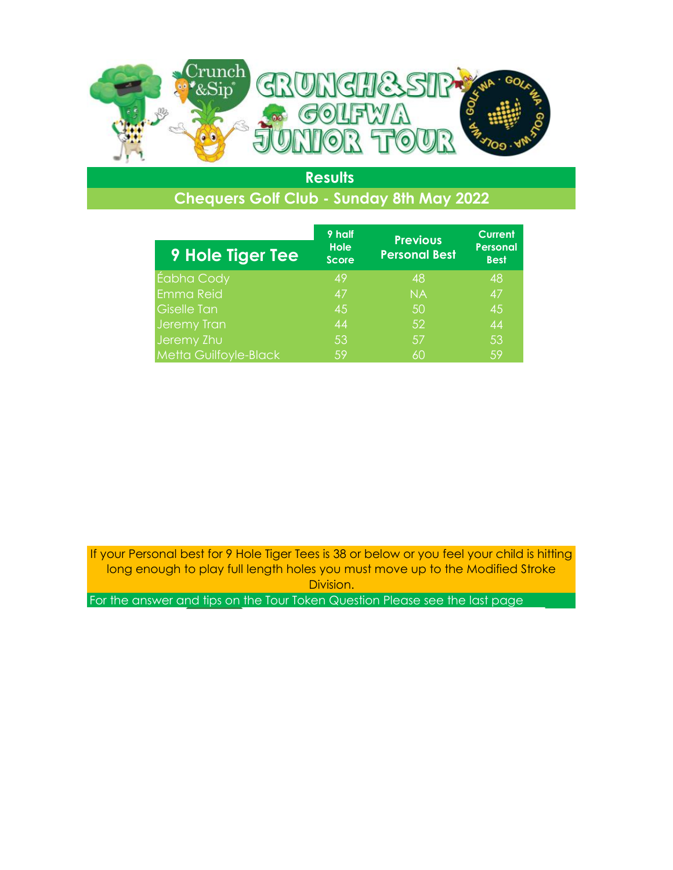

# **Chequers Golf Club - Sunday 8th May 2022**

| <b>9 Hole Tiger Tee</b>      | 9 half<br><b>Hole</b><br><b>Score</b> | <b>Previous</b><br><b>Personal Best</b> | <b>Current</b><br><b>Personal</b><br><b>Best</b> |
|------------------------------|---------------------------------------|-----------------------------------------|--------------------------------------------------|
| Éabha Cody                   | 49                                    | 48                                      | 48                                               |
| <b>Emma Reid</b>             | 47                                    | <b>NA</b>                               | 47                                               |
| <b>Giselle Tan</b>           | 45                                    | 50                                      | 45                                               |
| Jeremy Tran                  | 44                                    | 52                                      | 44                                               |
| Jeremy Zhu                   | 53                                    | .57                                     | 53                                               |
| <b>Metta Guilfoyle-Black</b> | 59                                    | 60                                      | 59                                               |

If your Personal best for 9 Hole Tiger Tees is 38 or below or you feel your child is hitting long enough to play full length holes you must move up to the Modified Stroke Division.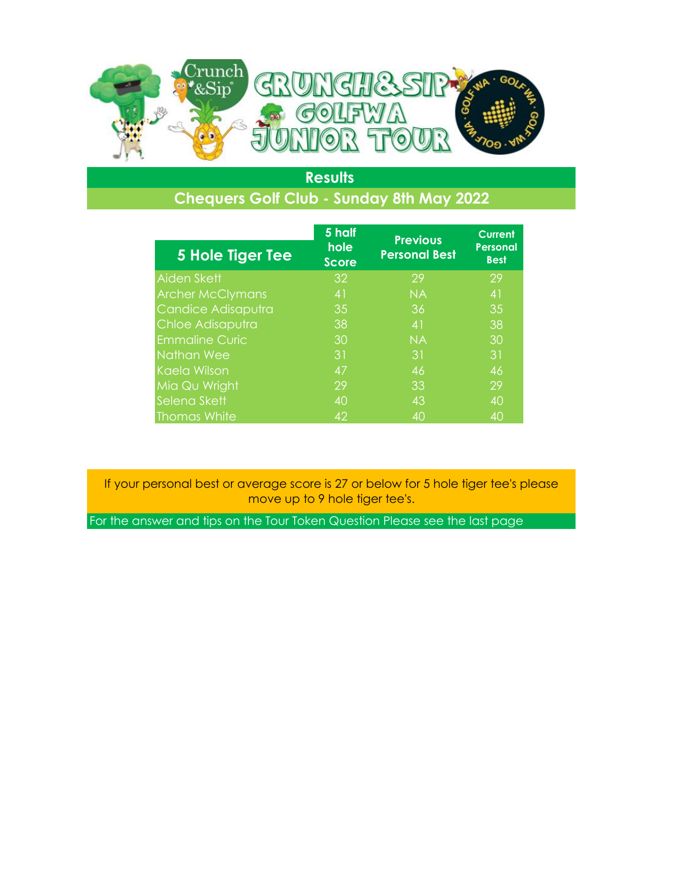

## **Chequers Golf Club - Sunday 8th May 2022**

|                         | 5 half               | <b>Previous</b>      | <b>Current</b>                 |
|-------------------------|----------------------|----------------------|--------------------------------|
| <b>5 Hole Tiger Tee</b> | hole<br><b>Score</b> | <b>Personal Best</b> | <b>Personal</b><br><b>Best</b> |
| Aiden Skett             | 32                   | 29                   | 29                             |
| <b>Archer McClymans</b> | 41                   | <b>NA</b>            | 41                             |
| Candice Adisaputra      | 35                   | 36                   | 35                             |
| Chloe Adisaputra        | 38                   | 41                   | 38                             |
| <b>Emmaline Curic</b>   | 30                   | <b>NA</b>            | 30                             |
| Nathan Wee              | 31                   | 31                   | 31                             |
| Kaela Wilson            | 47                   | 46                   | 46                             |
| Mia Qu Wright           | 29                   | 33                   | 29                             |
| Selena Skett            | 40                   | 43                   | 40                             |
| <b>Thomas White</b>     | 42                   | 40                   | 40                             |

If your personal best or average score is 27 or below for 5 hole tiger tee's please move up to 9 hole tiger tee's.